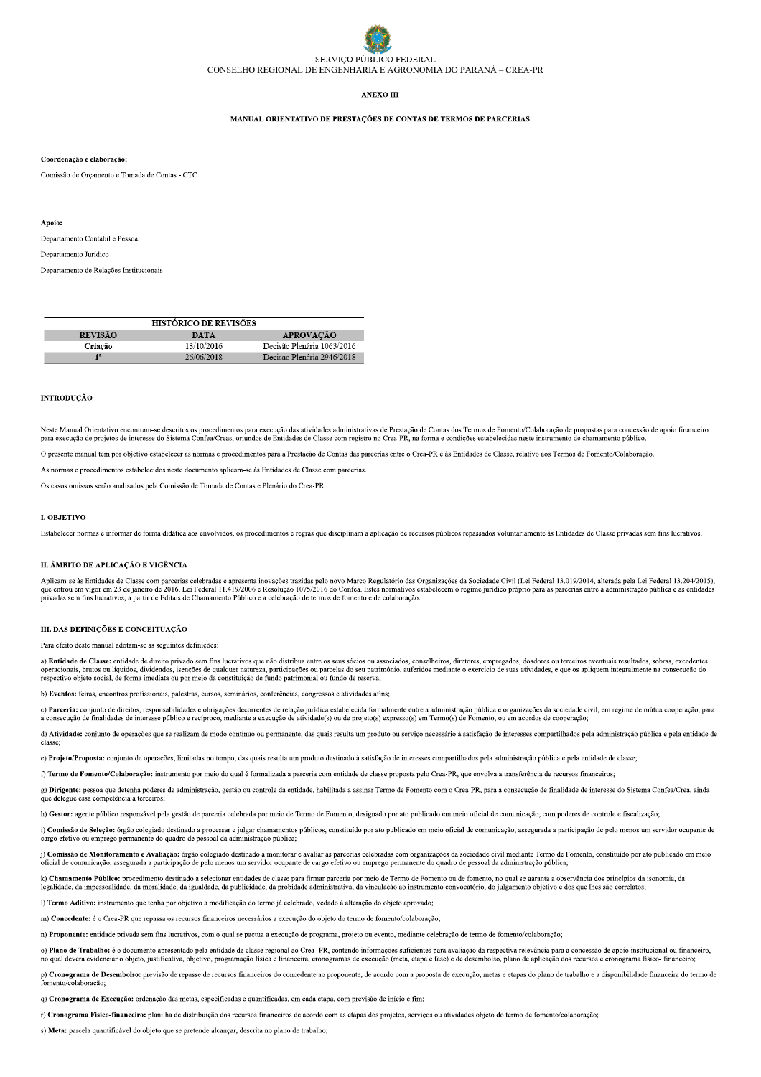# SERVICO PÚBLICO FEDERAL CONSELHO REGIONAL DE ENGENHARIA E AGRONOMIA DO PARANÁ – CREA-PR

# ANEXO III

# MANUAL ORIENTATIVO DE PRESTAÇÕES DE CONTAS DE TERMOS DE PARCERIAS

### Coordenação e elaboração:

Comissão de Orçamento e Tomada de Contas - CTC

#### Apoio:

Departamento Contábil e Pessoal

Departamento Jurídico

Departamento de Relações Institucionais

| <b>HISTÓRICO DE REVISÕES</b> |            |                            |
|------------------------------|------------|----------------------------|
| <b>REVISÃO</b>               | DATA       | <b>APROVACÃO</b>           |
| Criacão                      | 13/10/2016 | Decisão Plenária 1063/2016 |
| 1 <sup>2</sup>               | 26/06/2018 | Decisão Plenária 2946/2018 |

# **INTRODUÇÃO**

Neste Manual Orientativo encontram-se descritos os procedimentos para execução das atividades administrativas de Prestação de Contas dos Termos de Fomento/Colaboração de propostas para concessão de apoio financeiro para ex

O presente manual tem por objetivo estabelecer as normas e procedimentos para a Prestação de Contas das parcerias entre o Crea-PR e às Entidades de Classe, relativo aos Termos de Fomento/Colaboração.

As normas e procedimentos estabelecidos neste documento aplicam-se às Entidades de Classe com parcerias

Os casos omissos serão analisados pela Comissão de Tomada de Contas e Plenário do Crea-PR

# **L OBJETIVO**

Estabelecer normas e informar de forma didática aos envolvidos, os procedimentos e regras que disciplinam a aplicação de recursos públicos repassados voluntariamente às Entidades de Classe privadas sem fins lucrativos.

#### II. ÂMBITO DE APLICAÇÃO E VIGÊNCIA

Aplicam-se às Entidades de Classe com parcerias celebradas e apresenta inovações trazidas pelo novo Marco Regulatório das Organizações da Sociedade Civil (Lei Federal 13.019/2014, alterada pela Lei Federal 13.204/2015), qu privadas sem fins lucrativos, a partir de Editais de Chamamento Público e a celebração de termos de fomento e de colaboração.

#### III. DAS DEFINICÕES E CONCEITUAÇÃO

Para efeito deste manual adotam-se as seguintes definições

a) Entidade de Classe: entidade de direito privado sem fins lucrativos que não distribua entre os seus sócios ou associados, conselheiros, diretores, empregados, doadores ou terceiros eventuais resultados, sobras, excedent operacionais, brutos ou líquidos, dividendos, isenções de qualquer natureza, participações ou parcelas do seu patrimônio, auferidos mediante o exercício de suas atividades, e que os apliquem integralmente na consecução do

b) Eventos: feiras, encontros profissionais, palestras, cursos, seminários, conferências, congressos e atividades afins;

c) Parceria: conjunto de direitos, responsabilidades e obrigações decorrentes de relação jurídica estabelecida formalmente entre a administração pública e organizações da sociedade civil, em regime de mútua cooperação, par a consecução de finalidades de interesse público e recíproco, mediante a execução de atividade(s) ou de projeto(s) expresso(s) em Termo(s) de Fomento, ou em acordos de cooperação;

d) Atividade: conjunto de operações que se realizam de modo contínuo ou permanente, das quais resulta um produto ou serviço necessário à satisfação de interesses compartilhados pela administração nública e pela entidade de

e) Projeto/Proposta: conjunto de operações, limitadas no tempo, das quais resulta um produto destinado à satisfação de interesses compartilhados pela administração pública e pela entidade de classe;

f) Termo de Fomento/Colaboração: instrumento por meio do qual é formalizada a parceria com entidade de classe proposta pelo Crea-PR, que envolva a transferência de recursos financeiros;

g) Dirigente: pessoa que detenha poderes de administração, gestão ou controle da entidade, habilitada a assinar Termo de Fomento com o Crea-PR, para a consecução de finalidade de interesse do Sistema Confea/Crea, ainda que delegue essa competência a terceiros:

h) Gestor: agente público responsável pela gestão de parceria celebrada por meio de Termo de Fomento, designado por ato publicado em meio oficial de comunicação, com poderes de controle e fiscalização;

i) Comissão de Seleção: órgão colegiado destinado a processar e julgar chamamentos públicos, constituído por ato publicado em meio oficial de comunicação, assegurada a participação de pelo menos um servidor ocupante de cargo efetivo ou emprego permanente do quadro de pessoal da administração pública;

j) Comissão de Monitoramento e Avaliação: órgão colegiado destinado a monitorar e avaliar as parcerias celebradas com organizações da sociedade civil mediante Termo de Fomento, constituído por ato publicado em meio oficial de comunicação, assegurada a participação de pelo menos um servidor ocupante de cargo efetivo ou emprego permanente do quadro de pessoal da administração pública:

k) Chamamento Público: procedimento destinado a selecionar entidades de classe para firmar parceria por meio de Termo de Fomento ou de fomento, no qual se garanta a observância dos princípios da isonomia, da legalidade, da

I) Termo Aditivo: instrumento que tenha por objetivo a modificação do termo já celebrado, vedado à alteração do objeto aprovado;

m) Concedente: é o Crea-PR que repassa os recursos financeiros necessários a execução do objeto do termo de fomento/colaboração;

n) Proponente: entidade privada sem fins lucrativos, com o qual se pactua a execução de programa, projeto ou evento, mediante celebração de termo de fomento/colaboração:

o) Plano de Trabalho: é o documento apresentado pela entidade de classe regional ao Crea-PR, contendo informações suficientes para avaliação da respectiva relevância para a concessão de apoio institucional ou financeiro, n

p) Cronograma de Desembolso: previsão de repasse de recursos financeiros do concedente ao proponente, de acordo com a proposta de execução, metas e etapas do plano de trabalho e a disponibilidade financeira do termo de for mento/colaboração;

q) Cronograma de Execução: ordenação das metas, especificadas e quantificadas, em cada etapa, com previsão de início e fim;

r) Cronograma Físico-financeiro: planilha de distribuição dos recursos financeiros de acordo com as etapas dos projetos, serviços ou atividades objeto do termo de fomento/colaboração;

s) Meta: parcela quantificável do objeto que se pretende alcançar, descrita no plano de trabalho;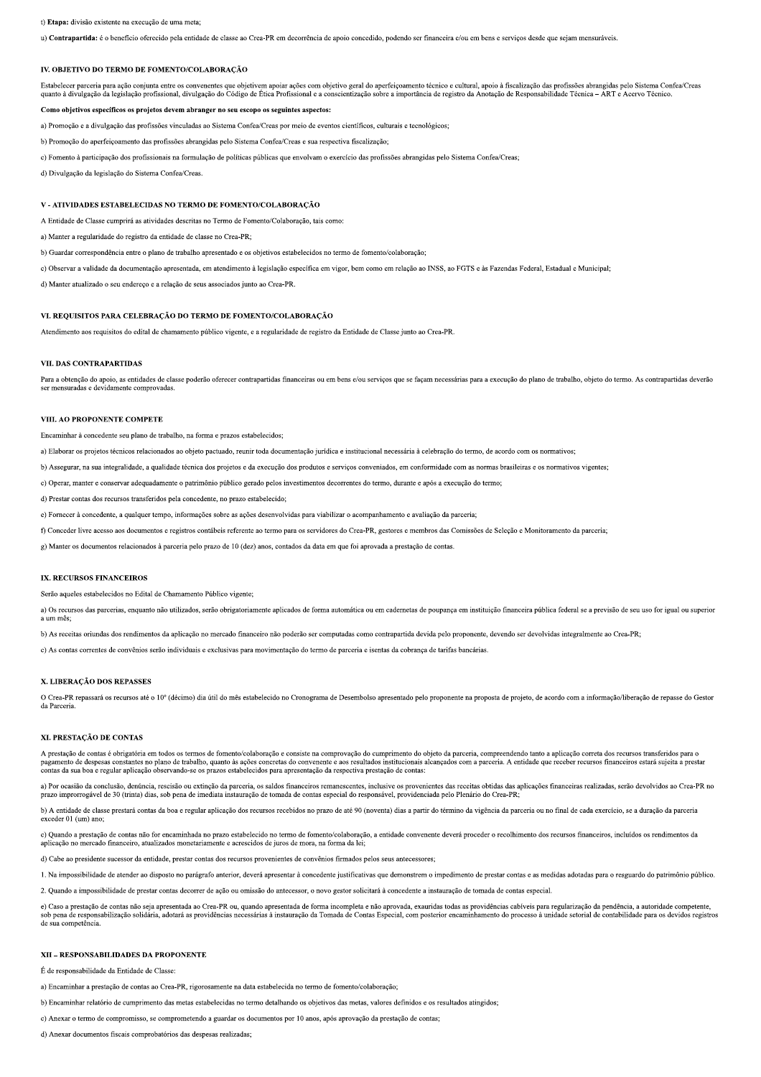### t) Etapa: divisão existente na execução de uma meta;

u) Contrapartida: é o benefício oferecido pela entidade de classe ao Crea-PR em decorrência de apoio concedido, podendo ser financeira e/ou em bens e serviços desde que sejam mensuráveis.

#### IV. OBJETIVO DO TERMO DE FOMENTO/COLABORAÇÃO

Estabelecer parceria para ação conjunta entre os convenentes que objetivem apoiar ações com objetivo geral do aperfeiçoamento técnico e cultural, apoio à fiscalização das profissões abrangidas pelo Sistema Confea/Creas<br>qua

# Como objetivos específicos os projetos devem abranger no seu escopo os seguintes aspectos:

a) Promoção e a divulgação das profissões vinculadas ao Sistema Confea/Creas por meio de eventos científicos, culturais e tecnológicos;

b) Promoção do aperfeicoamento das profissões abrangidas pelo Sistema Confea/Creas e sua respectiva fiscalização:

c) Fomento à participação dos profissionais na formulação de políticas públicas que envolvam o exercício das profissões abrangidas pelo Sistema Confea/Creas;

d) Divulgação da legislação do Sistema Confea/Creas.

### V - ATIVIDADES ESTABELECIDAS NO TERMO DE FOMENTO/COLABORAÇÃO

A Entidade de Classe cumprirá as atividades descritas no Termo de Fomento/Colaboração, tais como:

a) Manter a regularidade do registro da entidade de classe no Crea-PR:

b) Guardar correspondência entre o plano de trabalho apresentado e os objetivos estabelecidos no termo de fomento/colaboração;

c) Observar a validade da documentação apresentada, em atendimento à legislação específica em vigor, bem como em relação ao INSS, ao FGTS e às Fazendas Federal, Estadual e Municipal;

d) Manter atualizado o seu endereço e a relação de seus associados junto ao Crea-PR.

# VI. REQUISITOS PARA CELEBRAÇÃO DO TERMO DE FOMENTO/COLABORAÇÃO

Atendimento aos requisitos do edital de chamamento público vigente, e a regularidade de registro da Entidade de Classe junto ao Crea-PR.

### VII. DAS CONTRAPARTIDAS

Para a obtenção do apoio, as entidades de classe poderão oferecer contrapartidas financeiras ou em bens e/ou serviços que se façam necessárias para a execução do plano de trabalho, objeto do termo. As contrapartidas deverã ser mensuradas e devidamente comprovadas

#### VIII. AO PROPONENTE COMPETE

Encaminhar à concedente seu plano de trabalho, na forma e prazos estabelecidos:

a) Elaborar os projetos técnicos relacionados ao objeto pactuado, reunir toda documentação jurídica e institucional necessária à celebração do termo, de acordo com os normativos;

b) Assegurar, na sua integralidade, a qualidade técnica dos projetos e da execução dos produtos e serviços conveniados, em conformidade com as normas brasileiras e os normativos vigentes;

c) Operar, manter e conservar adequadamente o patrimônio público gerado pelos investimentos decorrentes do termo, durante e após a execução do termo;

d) Prestar contas dos recursos transferidos pela concedente, no prazo estabelecido;

e) Fornecer à concedente, a qualquer tempo, informações sobre as ações desenvolvidas para viabilizar o acompanhamento e avaliação da parceria;

f) Conceder livre acesso aos documentos e registros contábeis referente ao termo para os servidores do Crea-PR, gestores e membros das Comissões de Seleção e Monitoramento da parceria;

g) Manter os documentos relacionados à parceria pelo prazo de 10 (dez) anos, contados da data em que foi aprovada a prestação de contas.

# IX. RECURSOS FINANCEIROS

Serão aqueles estabelecidos no Edital de Chamamento Público vigente;

a) Os recursos das parcerias, enquanto não utilizados, serão obrigatoriamente aplicados de forma automática ou em cadernetas de poupança em instituição financeira pública federal se a previsão de seu uso for igual ou super

b) As receitas oriundas dos rendimentos da aplicação no mercado financeiro não poderão ser computadas como contrapartida devida pelo proponente, devendo ser devolvidas integralmente ao Crea-PR;

c) As contas correntes de convênios serão individuais e exclusivas para movimentação do termo de parceria e isentas da cobrança de tarifas bancárias.

#### X. LIBERACÃO DOS REPASSES

O Crea-PR repassará os recursos até o 10° (décimo) dia útil do mês estabelecido no Cronograma de Desembolso apresentado pelo proponente na proposta de projeto, de acordo com a informação/liberação de repasse do Gestor da Parceria

#### XI. PRESTAÇÃO DE CONTAS

A prestação de contas é obrigatória em todos os termos de fomento/colaboração e consiste na comprovação do cumprimento do objeto da parceria, compreendendo tanto a aplicação correta dos recursos transferidos para o pagamento de despesas constantes no plano de trabalho, quanto às ações concretas do convenente e aos resultados institucionais alcançados com a parceria. A entidade que receber recursos financeiros estará sujeita a prestar contas da sua boa e regular aplicação observando-se os prazos estabelecidos para apresentação da respectiva prestação de contas:

a) Por ocasião da conclusão, denúncia, rescisão ou extinção da parceria, os saldos financeiros remanescentes, inclusive os provenientes das receitas obtidas das aplicações financeiras realizadas, serão devolvidos ao Crea-P

b) A entidade de classe prestará contas da boa e regular aplicação dos recursos recebidos no prazo de até 90 (noventa) dias a partir do término da vigência da parceria ou no final de cada exercício, se a duração da parceri  $\operatorname{exceder} 01$  (um) and

c) Quando a prestação de contas não for encaminhada no prazo estabelecido no termo de fomento/colaboração, a entidade convenente deverá proceder o recolhimento dos recursos financeiros, incluídos os rendimentos da aplicaçã

d) Cabe ao presidente sucessor da entidade, prestar contas dos recursos provenientes de convênios firmados pelos seus antecessores;

1. Na impossibilidade de atender ao disposto no parágrafo anterior, deverá apresentar à concedente justificativas que demonstrem o impedimento de prestar contas e as medidas adotadas para o resguardo do patrimônio público.

2. Quando a impossibilidade de prestar contas decorrer de ação ou omissão do antecessor, o novo gestor solicitará à concedente a instauração de tomada de contas especial.

e) Caso a prestação de contas não seja apresentada ao Crea-PR ou, quando apresentada de forma incompleta e não aprovada, exauridas todas as providências cabíveis para regularização da pendência, a autoridade competente,<br>so

#### XII - RESPONSABILIDADES DA PROPONENTE

É de responsabilidade da Entidade de Classe:

a) Encaminhar a prestação de contas ao Crea-PR, rigorosamente na data estabelecida no termo de fomento/colaboração;

b) Encaminhar relatório de cumprimento das metas estabelecidas no termo detalhando os objetivos das metas, valores definidos e os resultados atingidos;

c) Anexar o termo de compromisso, se comprometendo a guardar os documentos por 10 anos, após aprovação da prestação de contas;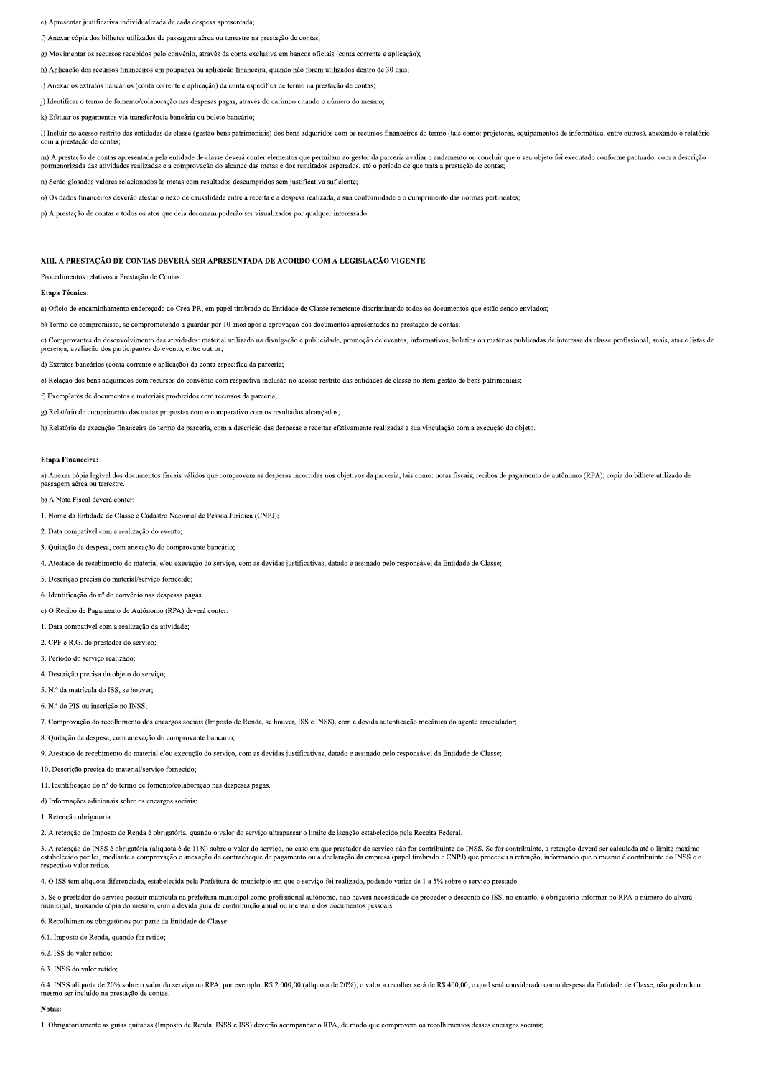e) Apresentar justificativa individualizada de cada despesa apresentada;

f) Anexar cópia dos bilhetes utilizados de passagens aérea ou terrestre na prestação de contas;

g) Movimentar os recursos recebidos pelo convênio, através da conta exclusiva em bancos oficiais (conta corrente e aplicação);

h) Aplicação dos recursos financeiros em noupança ou aplicação financeira, quando não forem utilizados dentro de 30 dias:

i) Anexar os extratos bancários (conta corrente e aplicação) da conta específica de termo na prestação de contas;

j) Identificar o termo de fomento/colaboração nas despesas pagas, através do carimbo citando o número do mesmo;

k) Efetuar os pagamentos via transferência bancária ou boleto bancário;

I) Incluir no acesso restrito das entidades de classe (gestão bens patrimoniais) dos bens adquiridos com os recursos financeiros do termo (tais como: projetores, equipamentos de informática, entre outros), anexando o relat com a prestação de contas:

m) A prestação de contas apresentada pela entidade de classe deverá conter elementos que permitam ao gestor da parceria avaliar o andamento ou concluir que o seu objeto foi executado conforme pactuado, com a descrição porm

n) Serão glosados valores relacionados às metas com resultados descumpridos sem justificativa suficiente;

o) Os dados financeiros deverão atestar o nexo de causalidade entre a receita e a despesa realizada, a sua conformidade e o cumprimento das normas pertinentes;

p) A prestação de contas e todos os atos que dela decorram poderão ser visualizados por qualquer interessado.

# XIII. A PRESTAÇÃO DE CONTAS DEVERÁ SER APRESENTADA DE ACORDO COM A LEGISLAÇÃO VIGENTE

Procedimentos relativos à Prestação de Contas:

#### Etana Técnica:

a) Ofício de encaminhamento enderecado ao Crea-PR, em papel timbrado da Entidade de Classe remetente discriminando todos os documentos que estão sendo enviados:

b) Termo de compromisso, se comprometendo a guardar por 10 anos após a aprovação dos documentos apresentados na prestação de contas:

c) Comprovantes do desenvolvimento das atividades: material utilizado na divulgação e publicidade, promoção de eventos, informativos, boletins ou matérias publicadas de interesse da classe profissional, anais, atas e lista

d) Extratos bancários (conta corrente e aplicação) da conta específica da parceria;

e) Relação dos bens adquiridos com recursos do convênio com respectiva inclusão no acesso restrito das entidades de classe no item gestão de bens patrimoniais;

f) Exemplares de documentos e materiais produzidos com recursos da parceria:

g) Relatório de cumprimento das metas propostas com o comparativo com os resultados alcançados;

h) Relatório de execução financeira do termo de parceria, com a descrição das despesas e receitas efetivamente realizadas e sua vinculação com a execução do objeto.

# Etapa Financeira:

a) Anexar cópia legível dos documentos fiscais válidos que comprovam as despesas incorridas nos objetivos da parceria, tais como: notas fiscais; recibos de pagamento de autônomo (RPA); cópia do bilhete utilizado de assagem aérea ou terrestre

b) A Nota Fiscal deverá conter:

1. Nome da Entidade de Classe e Cadastro Nacional de Pessoa Jurídica (CNPJ):

2. Data compatível com a realização do evento;

3. Quitação da despesa, com anexação do comprovante bancário:

4. Atestado de recebimento do material e/ou execução do serviço, com as devidas justificativas, datado e assinado pelo responsável da Entidade de Classe;

5. Descrição precisa do material/servico fornecido;

6. Identificação do nº do convênio nas despesas pagas

c) O Recibo de Pagamento de Autônomo (RPA) deverá conter:

1. Data compatível com a realização da atividade:

2. CPF e R.G. do prestador do servico:

3. Período do servico realizado:

4. Descrição precisa do objeto do serviço;

5. N.º da matrícula do ISS, se houver;

6. N.º do PIS ou inscrição no INSS;

7. Comprovação do recolhimento dos encargos sociais (Imposto de Renda, se houver, ISS e INSS), com a devida autenticação mecânica do agente arrecadador;

8. Quitação da despesa, com anexação do comprovante bancário;

9. Atestado de recebimento do material e/ou execução do serviço, com as devidas justificativas, datado e assinado pelo responsável da Entidade de Classe;

10. Descrição precisa do material/serviço fornecido;

11. Identificação do nº do termo de fomento/colaboração nas despesas pagas.

d) Informações adicionais sobre os encargos sociais:

1. Retenção obrigatória

2. A retenção do Imposto de Renda é obrigatória, quando o valor do serviço ultrapassar o limite de isenção estabelecido pela Receita Federal.

3. A retencão do INSS é obrigatória (alíquota é de 11%) sobre o valor do servico, no caso em que prestador de servico não for contribuinte do INSS. Se for contribuinte, a retencão deverá ser calculada até o limite máximo ессительно во итого с отдажни милима с исталу зоок с таки и зы тру, но сам они для рекации и в вегу, она потопитошне до ихээ. Se for contribuinte, a retençao devera ser calculada ate o limite máximo establecido por lei, m

4. O ISS tem alíquota diferenciada, estabelecida pela Prefeitura do município em que o serviço foi realizado, podendo variar de 1 a 5% sobre o serviço prestado.

5. Se o prestador do serviço possuir matrícula na prefeitura municipal como profissional autônomo, não haverá necessidade de proceder o desconto do ISS, no entanto, é obrigatório informar no RPA o número do alvará<br>municipa

6. Recolhimentos obrigatórios por parte da Entidade de Classe:

6.1. Imposto de Renda, quando for retido;

6.2. ISS do valor retido:

6.3. INSS do valor retido

6.4. INSS alíquota de 20% sobre o valor do serviço no RPA, por exemplo: R\$ 2.000,00 (alíquota de 20%), o valor a recolher será de R\$ 400,00, o qual será considerado como despesa da Entidade de Classe, não podendo o mesmo ser incluído na prestação de contas

# Notas:

1. Obrigatoriamente as guias quitadas (Imposto de Renda, INSS e ISS) deverão acompanhar o RPA, de modo que comprovem os recolhimentos desses encargos sociais;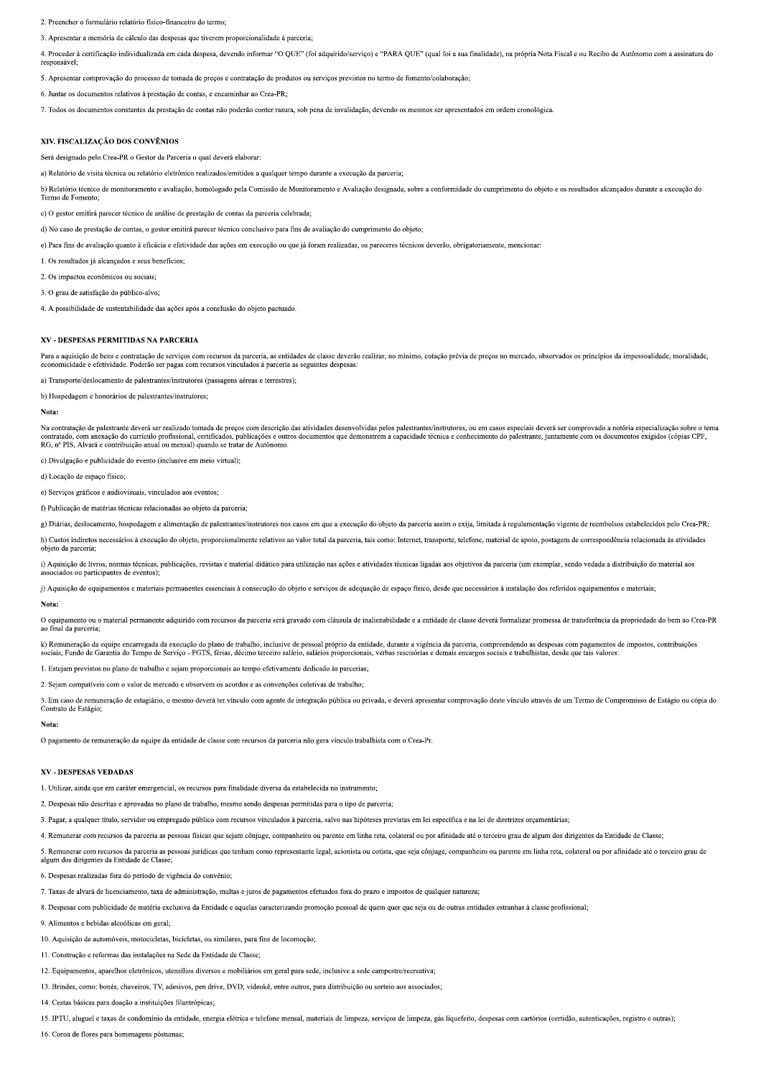2. Preencher o formulário relatório físico-financeiro do termo.

3. Apresentar a memória de cálculo das despesas que tiverem proporcionalidade à parceria;

4. Proceder à certificação individualizada em cada despesa, devendo informar "O OUE" (foi adquirido/servico) e "PARA OUE" (qual foi a sua finalidade), na própria Nota Fiscal e ou Recibo de Autônomo com a assinatura de responsável:

5. Apresentar comprovação do processo de tomada de preços e contratação de produtos ou serviços previstos no termo de fomento/colaboração;

6. Juntar os documentos relativos à prestação de contas, e encaminhar ao Crea-PR;

7. Todos os documentos constantes da prestação de contas não poderão conter rasura, sob pena de invalidação, devendo os mesmos ser apresentados em ordem cronológica.

#### XIV. FISCALIZAÇÃO DOS CONVÊNIOS

erá designado pelo Crea-PR o Gestor da Parceria o qual deverá elaborar

a) Relatório de visita técnica ou relatório eletrônico realizados/emitidos a qualquer tempo durante a execução da parceria;

b) Relatório técnico de monitoramento e avaliação, homologado pela Comissão de Monitoramento e Avaliação designada, sobre a conformidade do cumprimento do objeto e os resultados alcançados durante a execução do Termo de Fomento

c) O gestor emitirá parecer técnico de análise de prestação de contas da parceria celebrada;

d) No caso de prestação de contas, o gestor emitirá parecer técnico conclusivo para fins de avaliação do cumprimento do objeto;

e) Para fins de avaliação quanto à eficácia e efetividade das ações em execução ou que já foram realizadas, os pareceres técnicos deverão, obrigatoriamente, mencionar:

1. Os resultados já alcançados e seus benefícios;

2. Os impactos econômicos ou sociais:

3. O grau de satisfação do público-alvo:

4. A possibilidade de sustentabilidade das ações após a conclusão do objeto pactuado

#### XV - DESPESAS PERMITIDAS NA PARCERIA

Para a aquisição de bens e contratação de serviços com recursos da parceria, as entidades de classe deverão realizar, no mínimo, cotação prévia de preços no mercado, observados os princípios da impessoalidade, moralidade, economicidade e efetividade. Poderão ser pagas com recursos vinculados à parceria as seguintes despesas

sporte/deslocamento de palestrantes/instrutores (passagens aéreas e terrestres): a) Trai

b) Hospedagem e honorários de palestrantes/instrutores:

### Nota:

Na contratação de palestrante deverá ser realizado tomada de preços com descrição das atividades desenvolvidas pelos palestrantes/instrutores, ou em casos especiais deverá ser comprovado a notória especialização sobre o te contratado, com anexação do currículo profissional, certificados, publicações e outros documentos que demonstrem a capacidade técnica e conhecimento do palestrante, juntamente com os documentos exigidos (cópias CPF,<br>RG, nº

c) Divulgação e publicidade do evento (inclusive em meio virtual):

d) Locação de espaço físico;

e) Serviços gráficos e audiovisuais, vinculados aos eventos;

f) Publicação de matérias técnicas relacionadas ao objeto da parceria;

g) Diárias, deslocamento, hospedagem e alimentação de palestrantes/instrutores nos casos em que a execução do objeto da parceria assim o exija, limitada à regulamentação vigente de reembolsos estabelecidos pelo Crea-PR;

h) Custos indiretos necessários à execução do objeto, proporcionalmente relativos ao valor total da parceria, tais como: Internet, transporte, telefone, material de apoio, postagem de correspondência relacionada às ativida objeto da parceria;

i) Aquisição de livros, normas técnicas, publicações, revistas e material didático para utilização nas ações e atividades técnicas ligadas aos objetivos da parceria (um exemplar, sendo vedada a distribuição do material aos iados ou narticinantes de eventos

j) Aquisição de equipamentos e materiais permanentes essenciais à consecução do objeto e serviços de adequação de espaço físico, desde que necessários à instalação dos referidos equipamentos e materiais;

#### Nota:

O equipamento ou o material permanente adquirido com recursos da parceria será gravado com cláusula de inalienabilidade e a entidade de classe deverá formalizar promessa de transferência da propriedade do bem ao Crea-PR<br>ao

k) Remuneração da equipe encarregada da execução do plano de trabalho, inclusive de pessoal próprio da entidade, durante a vigência da parceria, compreendendo as despesas com pagamentos de impostos, contribuições<br>sociais,

1. Estejam previstos no plano de trabalho e sejam proporcionais ao tempo efetivamente dedicado às parcerias:

2. Sejam compatíveis com o valor de mercado e observem os acordos e as convenções coletivas de trabalho;

3. Em caso de remuneração de estagiário, o mesmo deverá ter vínculo com agente de integração pública ou privada, e deverá apresentar comprovação deste vínculo através de um Termo de Compromisso de Estágio ou cópia do Contrato de Estágio:

#### Nota:

O pagamento de remuneração da equipe da entidade de classe com recursos da parceria não gera vínculo trabalhista com o Crea-Pr.

#### **XV - DESPESAS VEDADAS**

1. Utilizar, ainda que em caráter emergencial, os recursos para finalidade diversa da estabelecida no instrumento:

2. Despesas não descritas e aprovadas no plano de trabalho, mesmo sendo despesas permitidas para o tipo de parceria;

3. Pagar, a qualquer título, servidor ou empregado público com recursos vinculados à parceria, salvo nas hipóteses previstas em lei específica e na lei de diretrizes orcamentárias;

4. Remunerar com recursos da parceria as pessoas físicas que sejam cônjuge, companheiro ou parente em linha reta, colateral ou por afinidade até o terceiro grau de algum dos dirigentes da Entidade de Classe;

5. Remunerar com recursos da parceria as pessoas jurídicas que tenham como representante legal, acionista ou cotista, que seja cônjuge, companheiro ou parente em linha reta, colateral ou por afinidade até o terceiro grau d algum dos dirigentes da Entidade de Classe

6. Despesas realizadas fora do período de vigência do convênio;

7. Taxas de alvará de licenciamento, taxa de administração, multas e juros de pagamentos efetuados fora do prazo e impostos de qualquer natureza;

8. Despesas com publicidade de matéria exclusiva da Entidade e aquelas caracterizando promoção pessoal de quem quer que seja ou de outras entidades estranhas à classe profissional;

9. Alimentos e bebidas alcoólicas em geral.

10. Aquisição de automóveis, motocicletas, bicicletas, ou similares, para fins de locomoção;

11. Construção e reformas das instalações na Sede da Entidade de Classe:

12. Equipamentos, aparelhos eletrônicos, utensílios diversos e mobiliários em geral para sede, inclusive a sede campestre/recreativa;

13. Brindes, como: bonés, chaveiros, TV, adesivos, pen drive, DVD, videokê, entre outros, para distribuição ou sorteio aos associados;

14. Cestas básicas para doação a instituições filantrópicas;

15. IPTU, aluguel e taxas de condomínio da entidade, energia elétrica e telefone mensal, materiais de limpeza, serviços de limpeza, gás liquefeito, despesas com cartórios (certidão, autenticações, registro e outras);

16. Coroa de flores para homenagens póstumas: